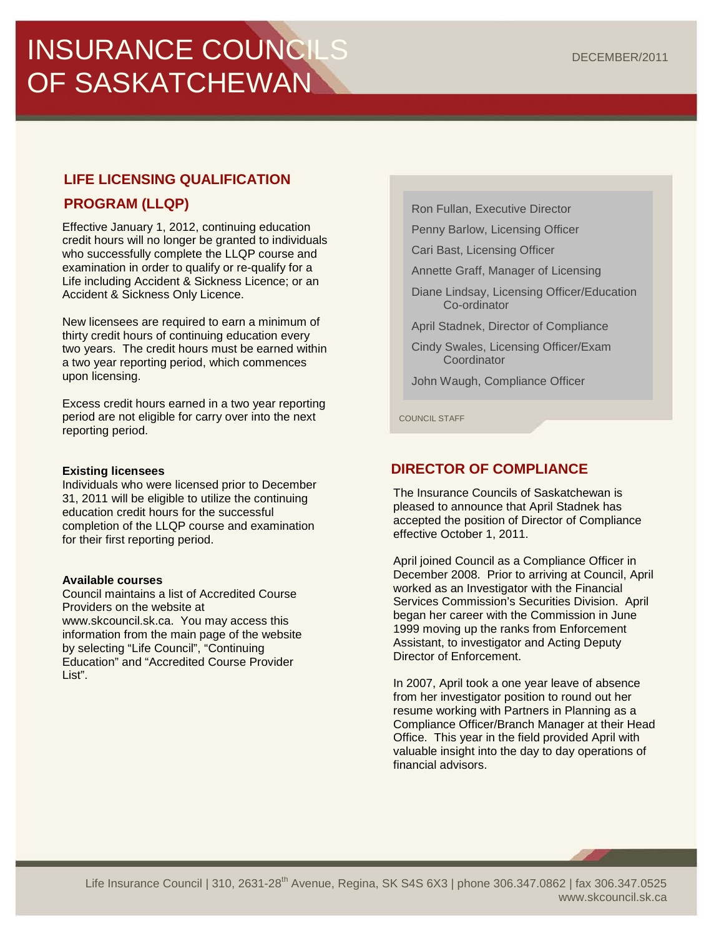# INSURANCE COUNCILS OF SASKATCHEWAN

# **LIFE LICENSING QUALIFICATION**

# **PROGRAM (LLQP)**

Effective January 1, 2012, continuing education credit hours will no longer be granted to individuals who successfully complete the LLQP course and examination in order to qualify or re-qualify for a Life including Accident & Sickness Licence; or an Accident & Sickness Only Licence.

New licensees are required to earn a minimum of thirty credit hours of continuing education every two years. The credit hours must be earned within a two year reporting period, which commences upon licensing.

Excess credit hours earned in a two year reporting period are not eligible for carry over into the next reporting period.

#### **Existing licensees**

Individuals who were licensed prior to December 31, 2011 will be eligible to utilize the continuing education credit hours for the successful completion of the LLQP course and examination for their first reporting period.

#### **Available courses**

Council maintains a list of Accredited Course Providers on the website at [www.skcouncil.sk.ca.](http://www.skcouncil.sk.ca/) You may access this information from the main page of the website by selecting "Life Council", "Continuing Education" and "Accredited Course Provider List".

Ron Fullan, Executive Director

Penny Barlow, Licensing Officer

Cari Bast, Licensing Officer

Annette Graff, Manager of Licensing

Diane Lindsay, Licensing Officer/Education Co-ordinator

April Stadnek, Director of Compliance

Cindy Swales, Licensing Officer/Exam **Coordinator** 

John Waugh, Compliance Officer

COUNCIL STAFF

# **DIRECTOR OF COMPLIANCE**

The Insurance Councils of Saskatchewan is pleased to announce that April Stadnek has accepted the position of Director of Compliance effective October 1, 2011.

April joined Council as a Compliance Officer in December 2008. Prior to arriving at Council, April worked as an Investigator with the Financial Services Commission's Securities Division. April began her career with the Commission in June 1999 moving up the ranks from Enforcement Assistant, to investigator and Acting Deputy Director of Enforcement.

In 2007, April took a one year leave of absence from her investigator position to round out her resume working with Partners in Planning as a Compliance Officer/Branch Manager at their Head Office. This year in the field provided April with valuable insight into the day to day operations of financial advisors.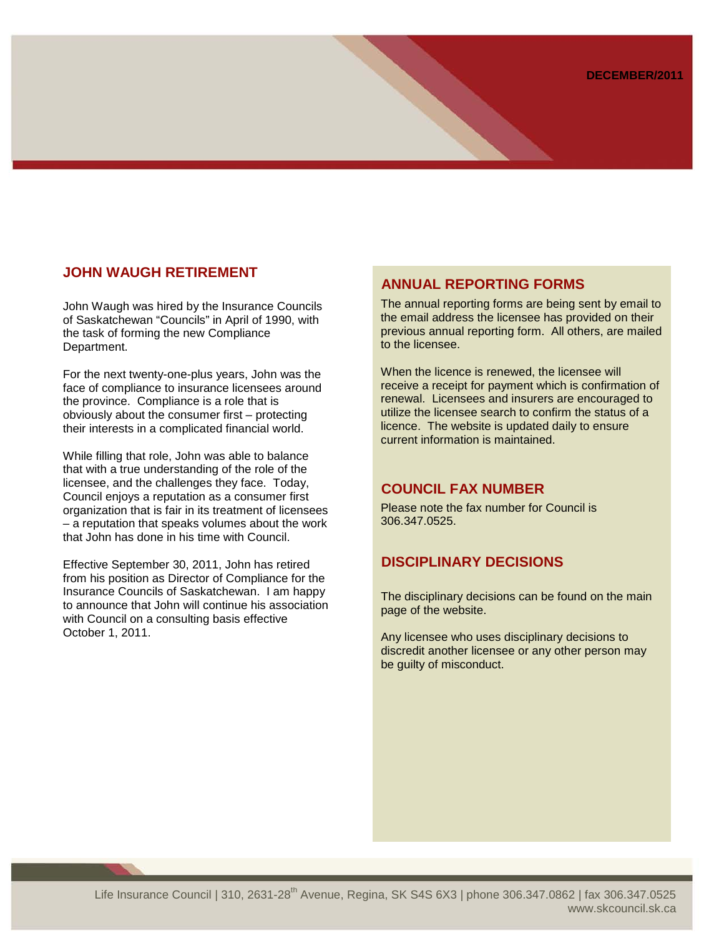### **JOHN WAUGH RETIREMENT**

John Waugh was hired by the Insurance Councils of Saskatchewan "Councils" in April of 1990, with the task of forming the new Compliance Department.

For the next twenty-one-plus years, John was the face of compliance to insurance licensees around the province. Compliance is a role that is obviously about the consumer first – protecting their interests in a complicated financial world.

While filling that role, John was able to balance that with a true understanding of the role of the licensee, and the challenges they face. Today, Council enjoys a reputation as a consumer first organization that is fair in its treatment of licensees – a reputation that speaks volumes about the work that John has done in his time with Council.

Effective September 30, 2011, John has retired from his position as Director of Compliance for the Insurance Councils of Saskatchewan. I am happy to announce that John will continue his association with Council on a consulting basis effective October 1, 2011.

### **ANNUAL REPORTING FORMS**

The annual reporting forms are being sent by email to the email address the licensee has provided on their previous annual reporting form. All others, are mailed to the licensee.

When the licence is renewed, the licensee will receive a receipt for payment which is confirmation of renewal. Licensees and insurers are encouraged to utilize the licensee search to confirm the status of a licence. The website is updated daily to ensure current information is maintained.

#### **COUNCIL FAX NUMBER**

Please note the fax number for Council is 306.347.0525.

## **DISCIPLINARY DECISIONS**

The disciplinary decisions can be found on the main page of the website.

Any licensee who uses disciplinary decisions to discredit another licensee or any other person may be guilty of misconduct.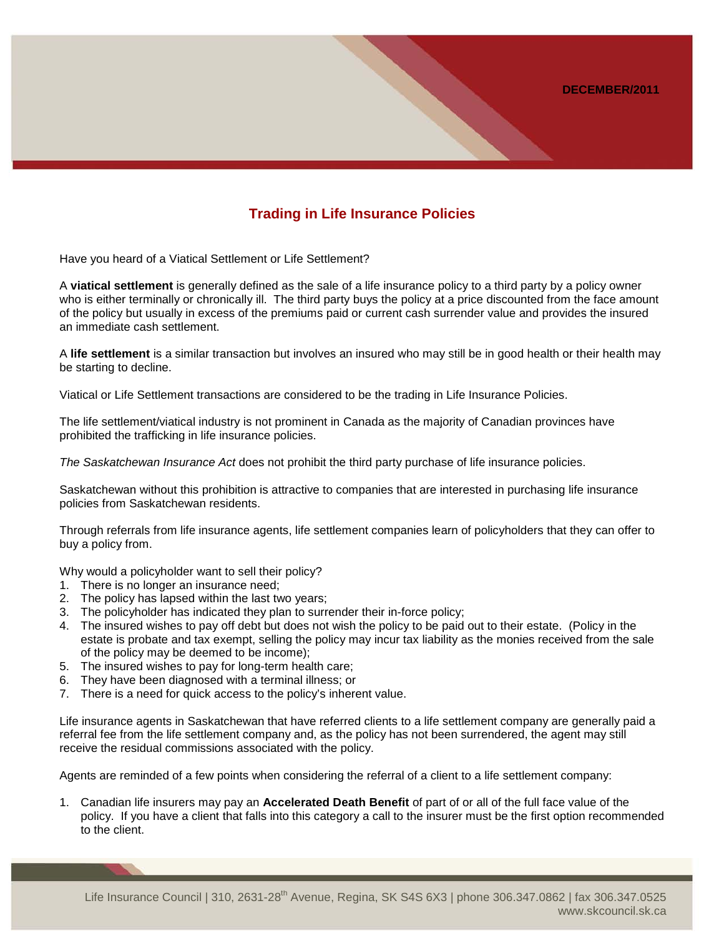## **Trading in Life Insurance Policies**

Have you heard of a Viatical Settlement or Life Settlement?

A **viatical settlement** is generally defined as the sale of a life insurance policy to a third party by a policy owner who is either terminally or chronically ill. The third party buys the policy at a price discounted from the face amount of the policy but usually in excess of the premiums paid or current cash surrender value and provides the insured an immediate cash settlement.

A **life settlement** is a similar transaction but involves an insured who may still be in good health or their health may be starting to decline.

Viatical or Life Settlement transactions are considered to be the trading in Life Insurance Policies.

The life settlement/viatical industry is not prominent in Canada as the majority of Canadian provinces have prohibited the trafficking in life insurance policies.

*The Saskatchewan Insurance Act* does not prohibit the third party purchase of life insurance policies.

Saskatchewan without this prohibition is attractive to companies that are interested in purchasing life insurance policies from Saskatchewan residents.

Through referrals from life insurance agents, life settlement companies learn of policyholders that they can offer to buy a policy from.

Why would a policyholder want to sell their policy?

- 1. There is no longer an insurance need;
- 2. The policy has lapsed within the last two years;
- 3. The policyholder has indicated they plan to surrender their in-force policy;
- 4. The insured wishes to pay off debt but does not wish the policy to be paid out to their estate. (Policy in the estate is probate and tax exempt, selling the policy may incur tax liability as the monies received from the sale of the policy may be deemed to be income);
- 5. The insured wishes to pay for long-term health care;
- 6. They have been diagnosed with a terminal illness; or
- 7. There is a need for quick access to the policy's inherent value.

Life insurance agents in Saskatchewan that have referred clients to a life settlement company are generally paid a referral fee from the life settlement company and, as the policy has not been surrendered, the agent may still receive the residual commissions associated with the policy.

Agents are reminded of a few points when considering the referral of a client to a life settlement company:

1. Canadian life insurers may pay an **Accelerated Death Benefit** of part of or all of the full face value of the policy. If you have a client that falls into this category a call to the insurer must be the first option recommended to the client.